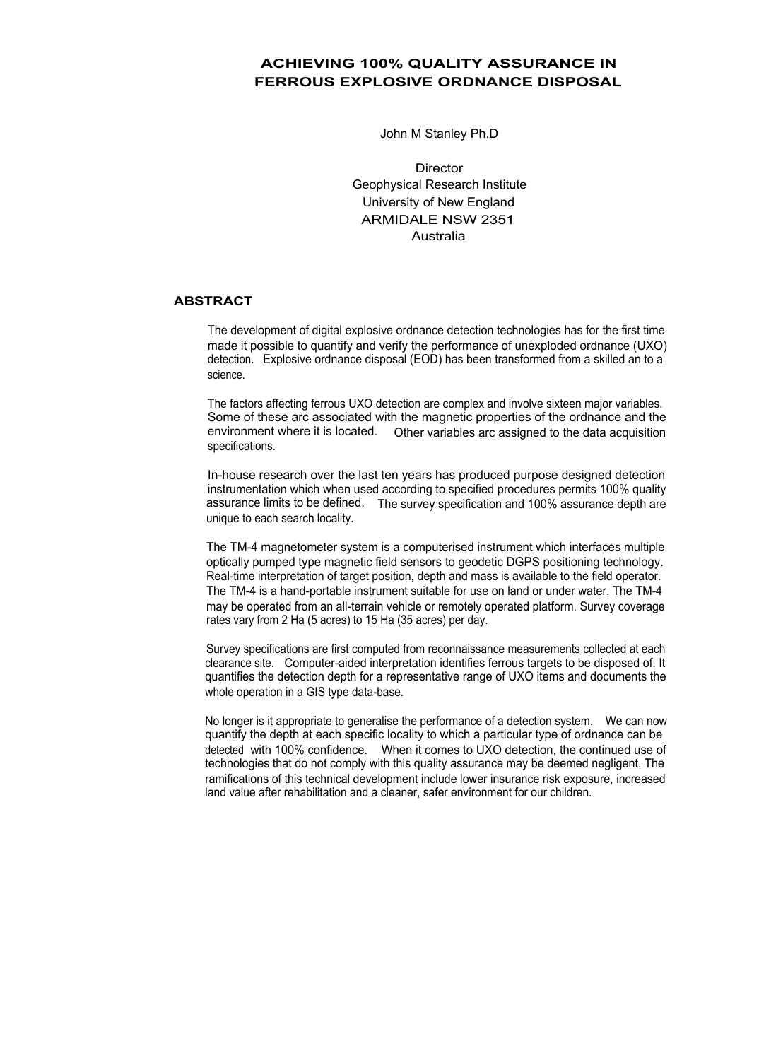## **ACHIEVING 100% QUALITY ASSURANCE IN FERROUS EXPLOSIVE ORDNANCE DISPOSAL**

John M Stanley Ph.D

**Director** Geophysical Research Institute University of New England ARMIDALE NSW 2351 Australia

## **ABSTRACT**

The development of digital explosive ordnance detection technologies has for the first time made it possible to quantify and verify the performance of unexploded ordnance (UXO) detection. Explosive ordnance disposal (EOD) has been transformed from a skilled an to a science.

The factors affecting ferrous UXO detection are complex and involve sixteen major variables. Some of these arc associated with the magnetic properties of the ordnance and the environment where it is located. Other variables arc assigned to the data acquisition specifications.

In-house research over the last ten years has produced purpose designed detection instrumentation which when used according to specified procedures permits 100% quality assurance limits to be defined. The survey specification and 100% assurance depth are unique to each search locality.

The TM-4 magnetometer system is a computerised instrument which interfaces multiple optically pumped type magnetic field sensors to geodetic DGPS positioning technology. Real-time interpretation of target position, depth and mass is available to the field operator. The TM-4 is a hand-portable instrument suitable for use on land or under water. The TM-4 may be operated from an all-terrain vehicle or remotely operated platform. Survey coverage rates vary from 2 Ha (5 acres) to 15 Ha (35 acres) per day.

Survey specifications are first computed from reconnaissance measurements collected at each clearance site. Computer-aided interpretation identifies ferrous targets to be disposed of. It quantifies the detection depth for a representative range of UXO items and documents the whole operation in a GIS type data-base.

No longer is it appropriate to generalise the performance of a detection system. We can now quantify the depth at each specific locality to which a particular type of ordnance can be detected with 100% confidence. When it comes to UXO detection, the continued use of technologies that do not comply with this quality assurance may be deemed negligent. The ramifications of this technical development include lower insurance risk exposure, increased land value after rehabilitation and a cleaner, safer environment for our children.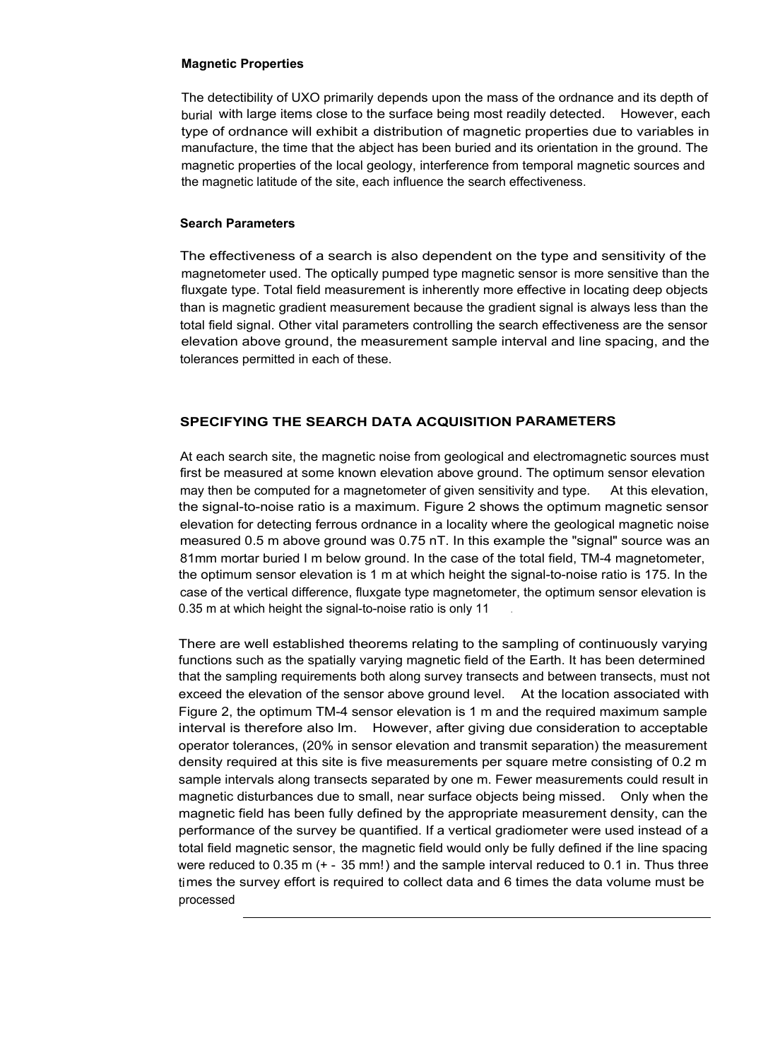## **Magnetic Properties**

The detectibility of UXO primarily depends upon the mass of the ordnance and its depth of burial with large items close to the surface being most readily detected. However, each type of ordnance will exhibit a distribution of magnetic properties due to variables in manufacture, the time that the abject has been buried and its orientation in the ground. The magnetic properties of the local geology, interference from temporal magnetic sources and the magnetic latitude of the site, each influence the search effectiveness.

## **Search Parameters**

The effectiveness of a search is also dependent on the type and sensitivity of the magnetometer used. The optically pumped type magnetic sensor is more sensitive than the fluxgate type. Total field measurement is inherently more effective in locating deep objects than is magnetic gradient measurement because the gradient signal is always less than the total field signal. Other vital parameters controlling the search effectiveness are the sensor elevation above ground, the measurement sample interval and line spacing, and the tolerances permitted in each of these.

## **SPECIFYING THE SEARCH DATA ACQUISITION PARAMETERS**

At each search site, the magnetic noise from geological and electromagnetic sources must first be measured at some known elevation above ground. The optimum sensor elevation may then be computed for a magnetometer of given sensitivity and type. At this elevation, the signal-to-noise ratio is a maximum. Figure 2 shows the optimum magnetic sensor elevation for detecting ferrous ordnance in a locality where the geological magnetic noise measured 0.5 m above ground was 0.75 nT. In this example the "signal" source was an 81mm mortar buried I m below ground. In the case of the total field, TM-4 magnetometer, the optimum sensor elevation is 1 m at which height the signal-to-noise ratio is 175. In the case of the vertical difference, fluxgate type magnetometer, the optimum sensor elevation is 0.35 m at which height the signal-to-noise ratio is only 11

There are well established theorems relating to the sampling of continuously varying functions such as the spatially varying magnetic field of the Earth. It has been determined that the sampling requirements both along survey transects and between transects, must not exceed the elevation of the sensor above ground level. At the location associated with Figure 2, the optimum TM-4 sensor elevation is 1 m and the required maximum sample interval is therefore also lm. However, after giving due consideration to acceptable operator tolerances, (20% in sensor elevation and transmit separation) the measurement density required at this site is five measurements per square metre consisting of 0.2 m sample intervals along transects separated by one m. Fewer measurements could result in magnetic disturbances due to small, near surface objects being missed. Only when the magnetic field has been fully defined by the appropriate measurement density, can the performance of the survey be quantified. If a vertical gradiometer were used instead of a total field magnetic sensor, the magnetic field would only be fully defined if the line spacing were reduced to 0.35 m (+ - 35 mm!) and the sample interval reduced to 0.1 in. Thus three times the survey effort is required to collect data and 6 times the data volume must be processed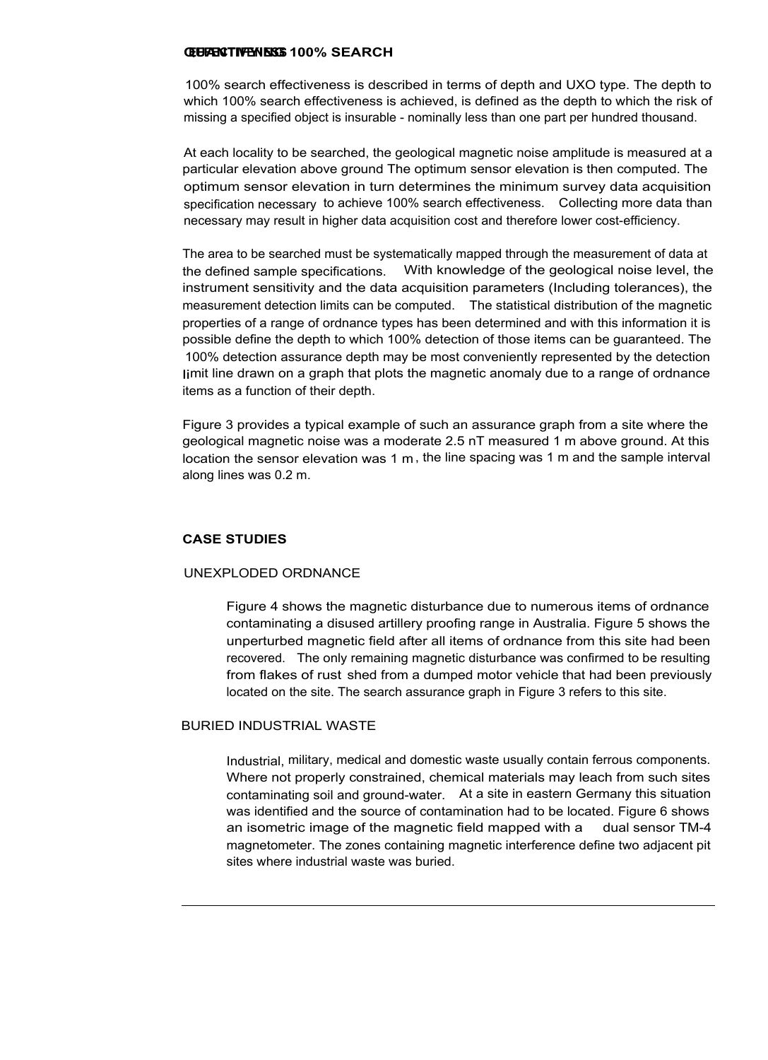#### **QUANTIFYING 100% SEARCH EFFECTIVENESS**

100% search effectiveness is described in terms of depth and UXO type. The depth to which 100% search effectiveness is achieved, is defined as the depth to which the risk of missing a specified object is insurable - nominally less than one part per hundred thousand.

At each locality to be searched, the geological magnetic noise amplitude is measured at a particular elevation above ground The optimum sensor elevation is then computed. The optimum sensor elevation in turn determines the minimum survey data acquisition specification necessary to achieve 100% search effectiveness. Collecting more data than necessary may result in higher data acquisition cost and therefore lower cost-efficiency.

The area to be searched must be systematically mapped through the measurement of data at the defined sample specifications. With knowledge of the geological noise level, the instrument sensitivity and the data acquisition parameters (Including tolerances), the measurement detection limits can be computed. The statistical distribution of the magnetic properties of a range of ordnance types has been determined and with this information it is possible define the depth to which 100% detection of those items can be guaranteed. The 100% detection assurance depth may be most conveniently represented by the detection limit line drawn on a graph that plots the magnetic anomaly due to a range of ordnance items as a function of their depth.

Figure 3 provides a typical example of such an assurance graph from a site where the geological magnetic noise was a moderate 2.5 nT measured 1 m above ground. At this location the sensor elevation was 1 m , the line spacing was 1 m and the sample interval along lines was 0.2 m.

## **CASE STUDIES**

## UNEXPLODED ORDNANCE

Figure 4 shows the magnetic disturbance due to numerous items of ordnance contaminating a disused artillery proofing range in Australia. Figure 5 shows the unperturbed magnetic field after all items of ordnance from this site had been recovered. The only remaining magnetic disturbance was confirmed to be resulting from flakes of rust shed from a dumped motor vehicle that had been previously located on the site. The search assurance graph in Figure 3 refers to this site.

## BURIED INDUSTRIAL WASTE

Industrial, military, medical and domestic waste usually contain ferrous components. Where not properly constrained, chemical materials may leach from such sites contaminating soil and ground-water. At a site in eastern Germany this situation was identified and the source of contamination had to be located. Figure 6 shows an isometric image of the magnetic field mapped with a dual sensor TM-4 magnetometer. The zones containing magnetic interference define two adjacent pit sites where industrial waste was buried.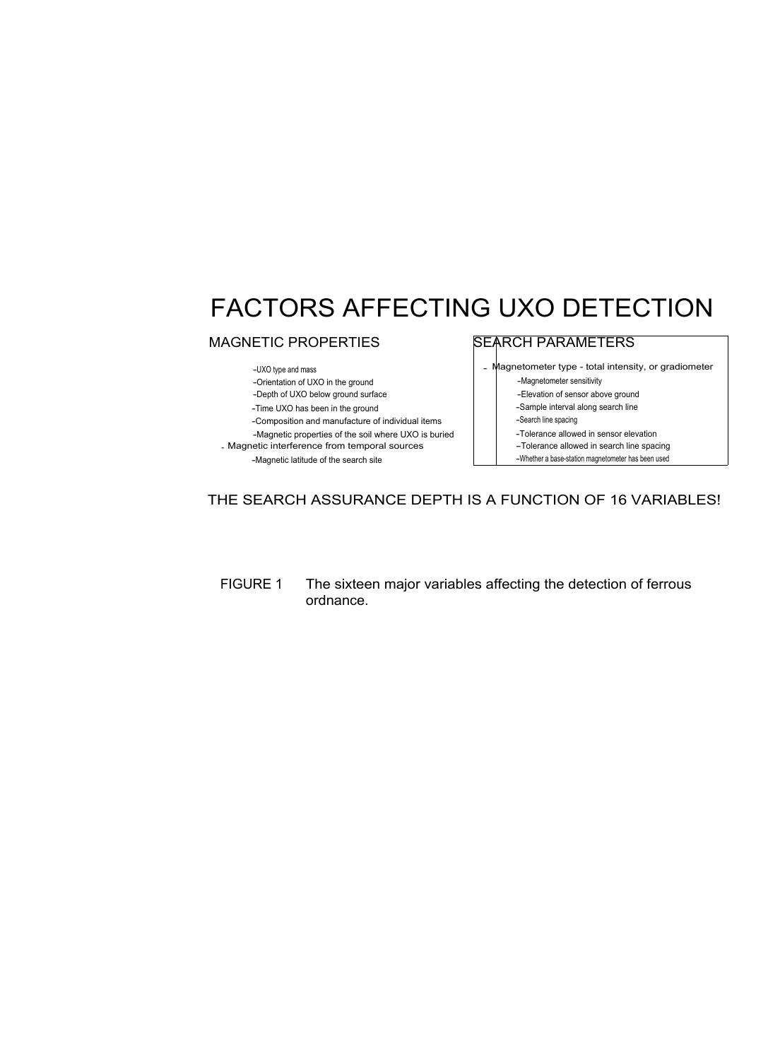# FACTORS AFFECTING UXO DETECTION

## MAGNETIC PROPERTIES

-UXO type and mass

-Orientation of UXO in the ground

-Depth of UXO below ground surface

-Time UXO has been in the ground

-Composition and manufacture of individual items

-Magnetic properties of the soil where UXO is buried

- Magnetic interference from temporal sources -Magnetic latitude of the search site

# SEARCH PARAMETERS

Aagnetometer type - total intensity, or gradiometer

-Magnetometer sensitivity

-Elevation of sensor above ground

-Sample interval along search line

-Search line spacing

-Tolerance allowed in sensor elevation

-Tolerance allowed in search line spacing

-Whether a base-station magnetometer has been used

## THE SEARCH ASSURANCE DEPTH IS A FUNCTION OF 16 VARIABLES!

FIGURE 1 The sixteen major variables affecting the detection of ferrous ordnance.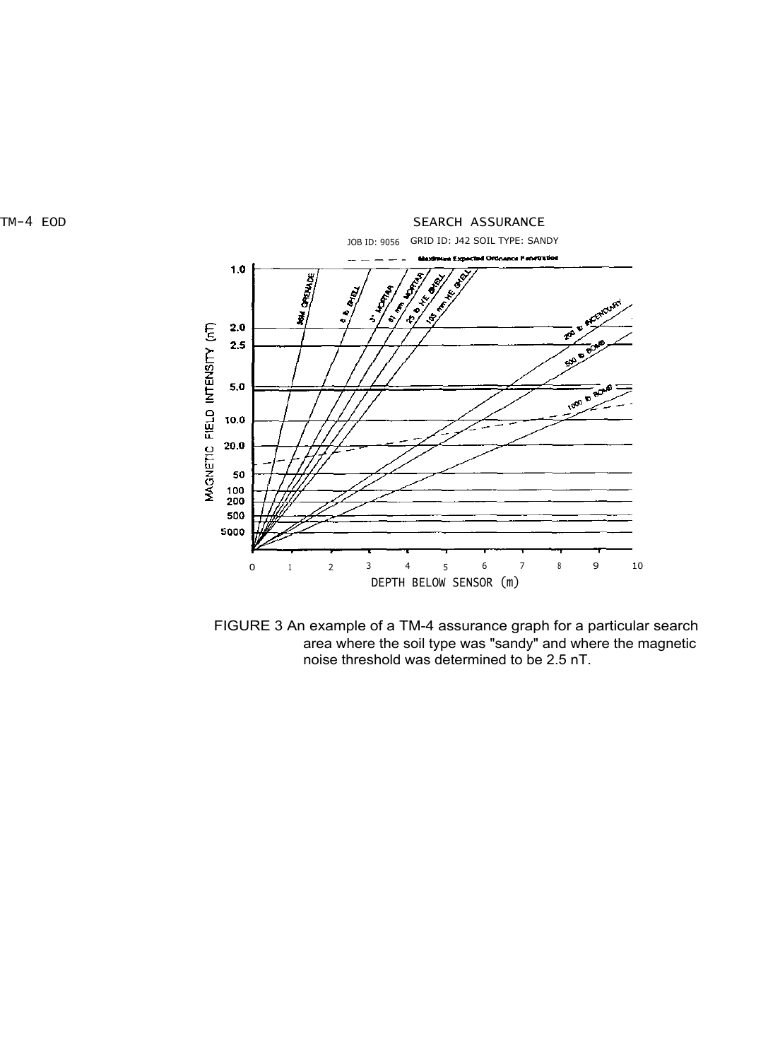



FIGURE 3 An example of a TM-4 assurance graph for a particular search area where the soil type was "sandy" and where the magnetic noise threshold was determined to be 2.5 nT.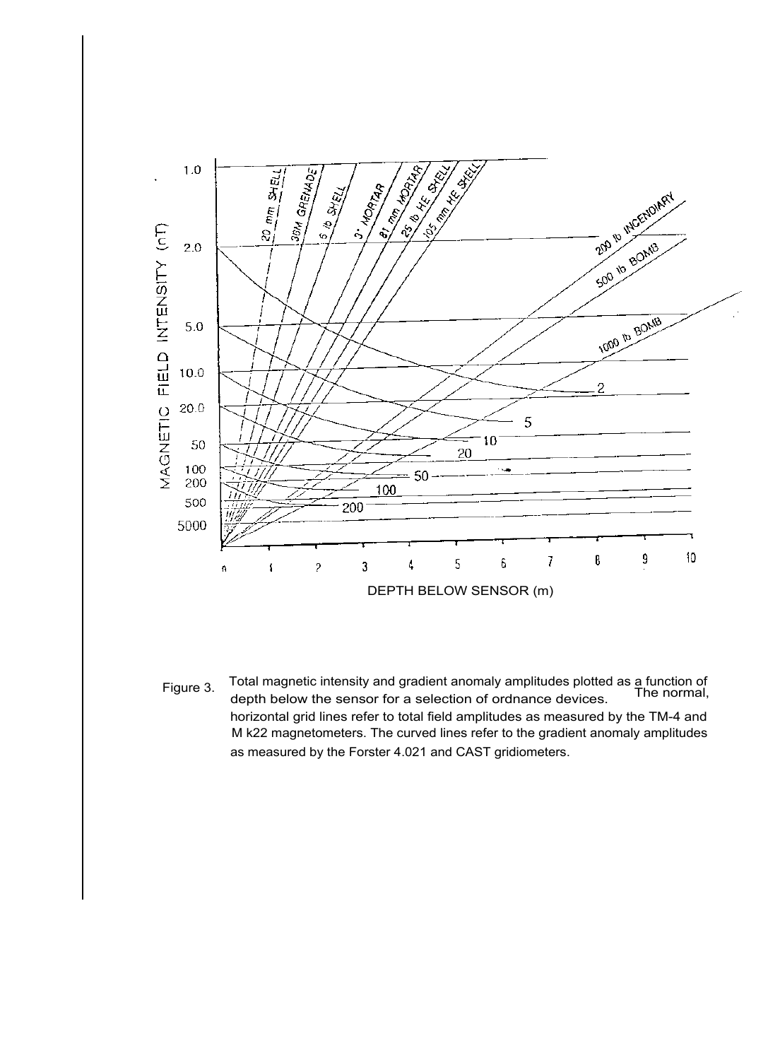

Figure 3. Total magnetic intensity and gradient anomaly amplitudes plotted as a function of depth below the sensor for a selection of ordnance devices. The normal, horizontal grid lines refer to total field amplitudes as measured by the TM-4 and M k22 magnetometers. The curved lines refer to the gradient anomaly amplitudes as measured by the Forster 4.021 and CAST gridiometers.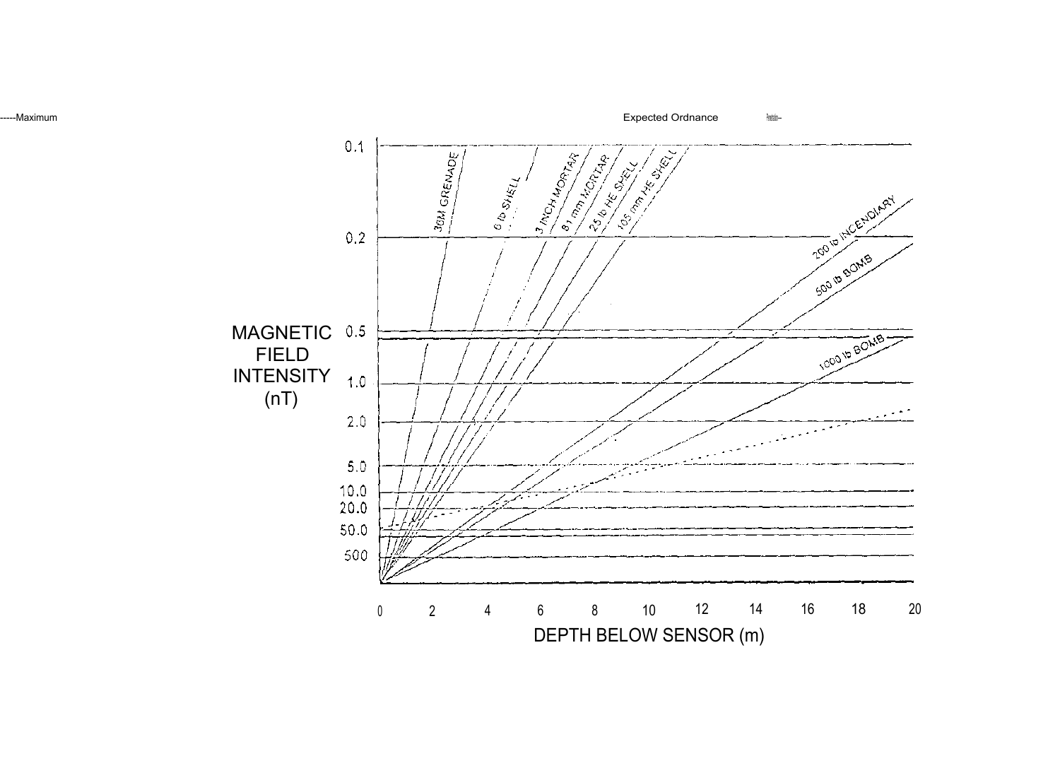-----Maximum expected Ordnance  $\frac{2}{2}$ 

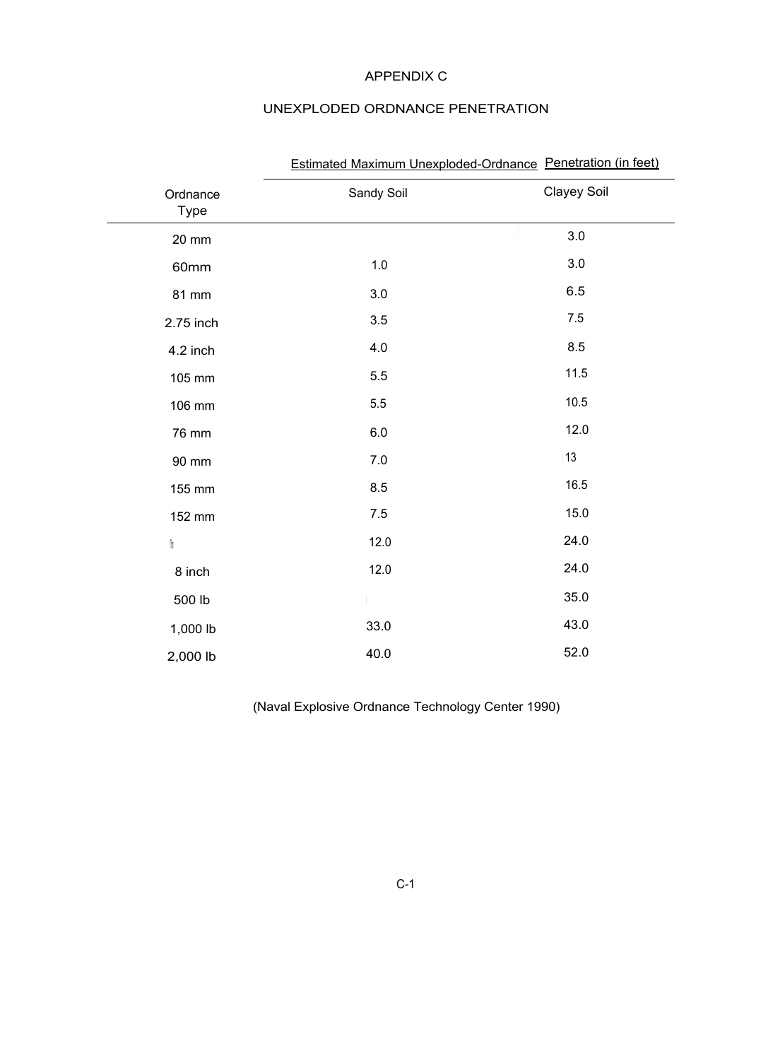## APPENDIX C

# UNEXPLODED ORDNANCE PENETRATION

| Ordnance<br><b>Type</b> | Sandy Soil | Clayey Soil |
|-------------------------|------------|-------------|
| 20 mm                   |            | 3.0         |
| 60mm                    | 1.0        | 3.0         |
| 81 mm                   | 3.0        | 6.5         |
| 2.75 inch               | 3.5        | $7.5\,$     |
| 4.2 inch                | 4.0        | 8.5         |
| 105 mm                  | 5.5        | 11.5        |
| 106 mm                  | 5.5        | $10.5$      |
| 76 mm                   | 6.0        | 12.0        |
| 90 mm                   | $7.0\,$    | 13          |
| 155 mm                  | 8.5        | 16.5        |
| 152 mm                  | $7.5$      | 15.0        |
| 'n                      | 12.0       | 24.0        |
| 8 inch                  | 12.0       | 24.0        |
| 500 lb                  |            | 35.0        |
| 1,000 lb                | 33.0       | 43.0        |
| 2,000 lb                | 40.0       | 52.0        |

# Estimated Maximum Unexploded-Ordnance Penetration (in feet)

(Naval Explosive Ordnance Technology Center 1990)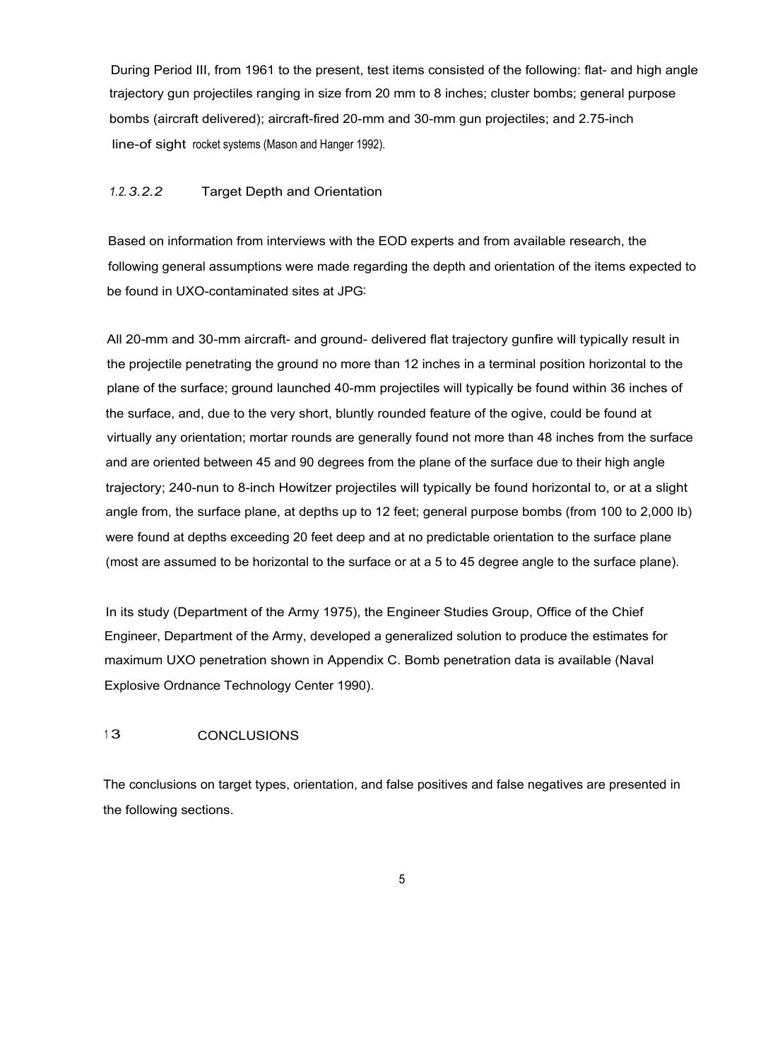During Period III, from 1961 to the present, test items consisted of the following: flat- and high angle trajectory gun projectiles ranging in size from 20 mm to 8 inches; cluster bombs; general purpose bombs (aircraft delivered); aircraft-fired 20-mm and 30-mm gun projectiles; and 2.75-inch line-of sight rocket systems (Mason and Hanger 1992).

## *1.2.3.2.2* Target Depth and Orientation

Based on information from interviews with the EOD experts and from available research, the following general assumptions were made regarding the depth and orientation of the items expected to be found in UXO-contaminated sites at JPG:

All 20-mm and 30-mm aircraft- and ground- delivered flat trajectory gunfire will typically result in the projectile penetrating the ground no more than 12 inches in a terminal position horizontal to the plane of the surface; ground launched 40-mm projectiles will typically be found within 36 inches of the surface, and, due to the very short, bluntly rounded feature of the ogive, could be found at virtually any orientation; mortar rounds are generally found not more than 48 inches from the surface and are oriented between 45 and 90 degrees from the plane of the surface due to their high angle trajectory; 240-nun to 8-inch Howitzer projectiles will typically be found horizontal to, or at a slight angle from, the surface plane, at depths up to 12 feet; general purpose bombs (from 100 to 2,000 lb) were found at depths exceeding 20 feet deep and at no predictable orientation to the surface plane (most are assumed to be horizontal to the surface or at a 5 to 45 degree angle to the surface plane).

In its study (Department of the Army 1975), the Engineer Studies Group, Office of the Chief Engineer, Department of the Army, developed a generalized solution to produce the estimates for maximum UXO penetration shown in Appendix C. Bomb penetration data is available (Naval Explosive Ordnance Technology Center 1990).

## 13 CONCLUSIONS

The conclusions on target types, orientation, and false positives and false negatives are presented in the following sections.